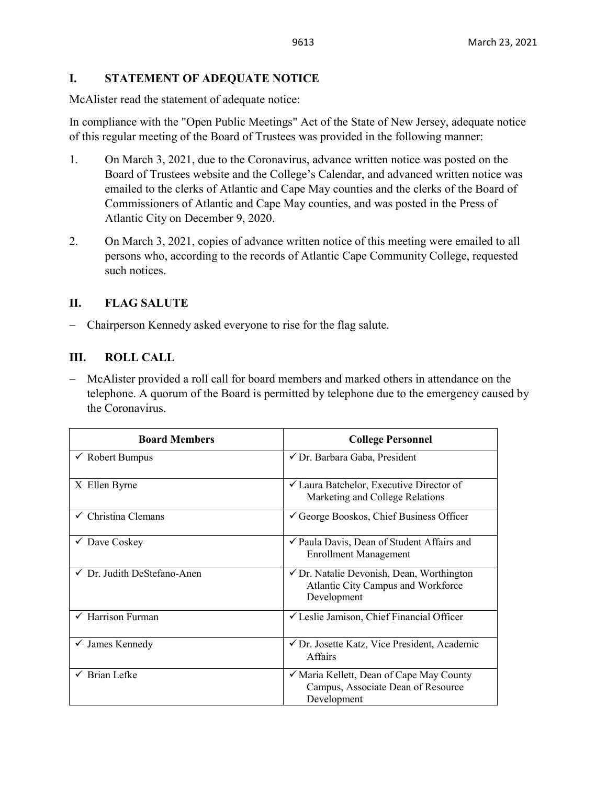## **I. STATEMENT OF ADEQUATE NOTICE**

McAlister read the statement of adequate notice:

In compliance with the "Open Public Meetings" Act of the State of New Jersey, adequate notice of this regular meeting of the Board of Trustees was provided in the following manner:

- 1. On March 3, 2021, due to the Coronavirus, advance written notice was posted on the Board of Trustees website and the College's Calendar, and advanced written notice was emailed to the clerks of Atlantic and Cape May counties and the clerks of the Board of Commissioners of Atlantic and Cape May counties, and was posted in the Press of Atlantic City on December 9, 2020.
- 2. On March 3, 2021, copies of advance written notice of this meeting were emailed to all persons who, according to the records of Atlantic Cape Community College, requested such notices.

## **II. FLAG SALUTE**

− Chairperson Kennedy asked everyone to rise for the flag salute.

## **III. ROLL CALL**

− McAlister provided a roll call for board members and marked others in attendance on the telephone. A quorum of the Board is permitted by telephone due to the emergency caused by the Coronavirus.

| <b>Board Members</b>           | <b>College Personnel</b>                                                                                  |  |
|--------------------------------|-----------------------------------------------------------------------------------------------------------|--|
| $\checkmark$ Robert Bumpus     | √ Dr. Barbara Gaba, President                                                                             |  |
| X Ellen Byrne                  | ✔ Laura Batchelor, Executive Director of<br>Marketing and College Relations                               |  |
| $\checkmark$ Christina Clemans | George Booskos, Chief Business Officer                                                                    |  |
| $\checkmark$ Dave Coskey       | ✓ Paula Davis, Dean of Student Affairs and<br><b>Enrollment Management</b>                                |  |
| √ Dr. Judith DeStefano-Anen    | $\checkmark$ Dr. Natalie Devonish, Dean, Worthington<br>Atlantic City Campus and Workforce<br>Development |  |
| $\checkmark$ Harrison Furman   | $\checkmark$ Leslie Jamison, Chief Financial Officer                                                      |  |
| James Kennedy<br>$\checkmark$  | ✔ Dr. Josette Katz, Vice President, Academic<br><b>Affairs</b>                                            |  |
| $\checkmark$ Brian Lefke       | ✓ Maria Kellett, Dean of Cape May County<br>Campus, Associate Dean of Resource<br>Development             |  |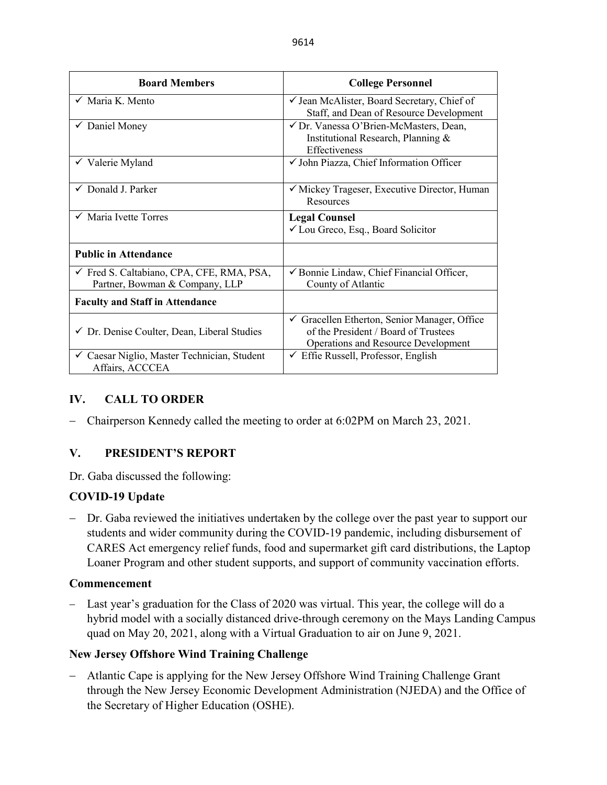| <b>Board Members</b>                                                        | <b>College Personnel</b>                                                                                                                      |  |  |
|-----------------------------------------------------------------------------|-----------------------------------------------------------------------------------------------------------------------------------------------|--|--|
| $\checkmark$ Maria K. Mento                                                 | √ Jean McAlister, Board Secretary, Chief of<br>Staff, and Dean of Resource Development                                                        |  |  |
| $\checkmark$ Daniel Money                                                   | √ Dr. Vanessa O'Brien-McMasters, Dean,<br>Institutional Research, Planning &<br>Effectiveness                                                 |  |  |
| $\checkmark$ Valerie Myland                                                 | √ John Piazza, Chief Information Officer                                                                                                      |  |  |
| $\checkmark$ Donald J. Parker                                               | $\checkmark$ Mickey Trageser, Executive Director, Human<br>Resources                                                                          |  |  |
| $\checkmark$ Maria Ivette Torres                                            | <b>Legal Counsel</b><br>✔ Lou Greco, Esq., Board Solicitor                                                                                    |  |  |
| <b>Public in Attendance</b>                                                 |                                                                                                                                               |  |  |
| √ Fred S. Caltabiano, CPA, CFE, RMA, PSA,<br>Partner, Bowman & Company, LLP | ✔ Bonnie Lindaw, Chief Financial Officer,<br>County of Atlantic                                                                               |  |  |
| <b>Faculty and Staff in Attendance</b>                                      |                                                                                                                                               |  |  |
| √ Dr. Denise Coulter, Dean, Liberal Studies                                 | $\checkmark$ Gracellen Etherton, Senior Manager, Office<br>of the President / Board of Trustees<br><b>Operations and Resource Development</b> |  |  |
| ✓ Caesar Niglio, Master Technician, Student<br>Affairs, ACCCEA              | $\checkmark$ Effie Russell, Professor, English                                                                                                |  |  |

## **IV. CALL TO ORDER**

− Chairperson Kennedy called the meeting to order at 6:02PM on March 23, 2021.

# **V. PRESIDENT'S REPORT**

Dr. Gaba discussed the following:

## **COVID-19 Update**

− Dr. Gaba reviewed the initiatives undertaken by the college over the past year to support our students and wider community during the COVID-19 pandemic, including disbursement of CARES Act emergency relief funds, food and supermarket gift card distributions, the Laptop Loaner Program and other student supports, and support of community vaccination efforts.

## **Commencement**

− Last year's graduation for the Class of 2020 was virtual. This year, the college will do a hybrid model with a socially distanced drive-through ceremony on the Mays Landing Campus quad on May 20, 2021, along with a Virtual Graduation to air on June 9, 2021.

## **New Jersey Offshore Wind Training Challenge**

− Atlantic Cape is applying for the New Jersey Offshore Wind Training Challenge Grant through the New Jersey Economic Development Administration (NJEDA) and the Office of the Secretary of Higher Education (OSHE).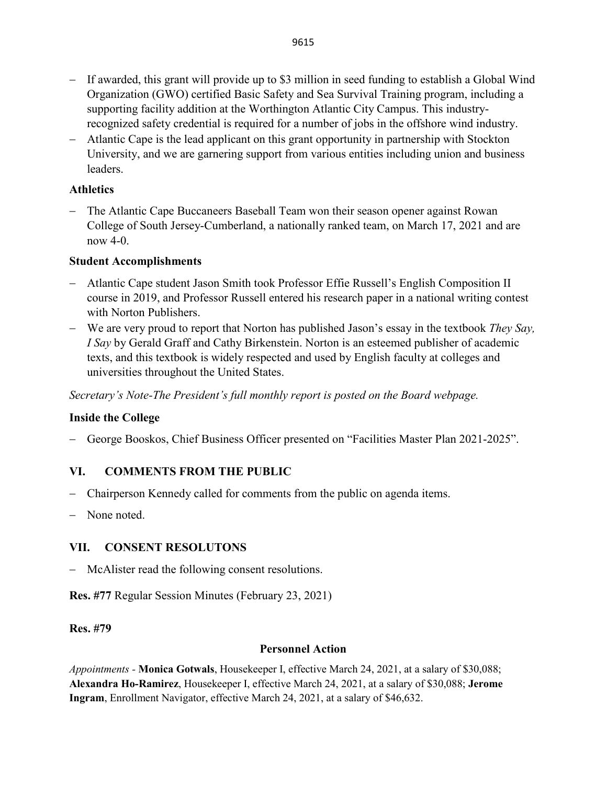- − If awarded, this grant will provide up to \$3 million in seed funding to establish a Global Wind Organization (GWO) certified Basic Safety and Sea Survival Training program, including a supporting facility addition at the Worthington Atlantic City Campus. This industryrecognized safety credential is required for a number of jobs in the offshore wind industry.
- − Atlantic Cape is the lead applicant on this grant opportunity in partnership with Stockton University, and we are garnering support from various entities including union and business leaders.

## **Athletics**

− The Atlantic Cape Buccaneers Baseball Team won their season opener against Rowan College of South Jersey-Cumberland, a nationally ranked team, on March 17, 2021 and are now 4-0.

# **Student Accomplishments**

- − Atlantic Cape student Jason Smith took Professor Effie Russell's English Composition II course in 2019, and Professor Russell entered his research paper in a national writing contest with Norton Publishers.
- − We are very proud to report that Norton has published Jason's essay in the textbook *They Say, I Say* by Gerald Graff and Cathy Birkenstein. Norton is an esteemed publisher of academic texts, and this textbook is widely respected and used by English faculty at colleges and universities throughout the United States.

*Secretary's Note-The President's full monthly report is posted on the Board webpage.* 

# **Inside the College**

− George Booskos, Chief Business Officer presented on "Facilities Master Plan 2021-2025".

# **VI. COMMENTS FROM THE PUBLIC**

- − Chairperson Kennedy called for comments from the public on agenda items.
- None noted.

# **VII. CONSENT RESOLUTONS**

− McAlister read the following consent resolutions.

**Res. #77** Regular Session Minutes (February 23, 2021)

## **Res. #79**

## **Personnel Action**

*Appointments -* **Monica Gotwals**, Housekeeper I, effective March 24, 2021, at a salary of \$30,088; **Alexandra Ho-Ramirez**, Housekeeper I, effective March 24, 2021, at a salary of \$30,088; **Jerome Ingram**, Enrollment Navigator, effective March 24, 2021, at a salary of \$46,632.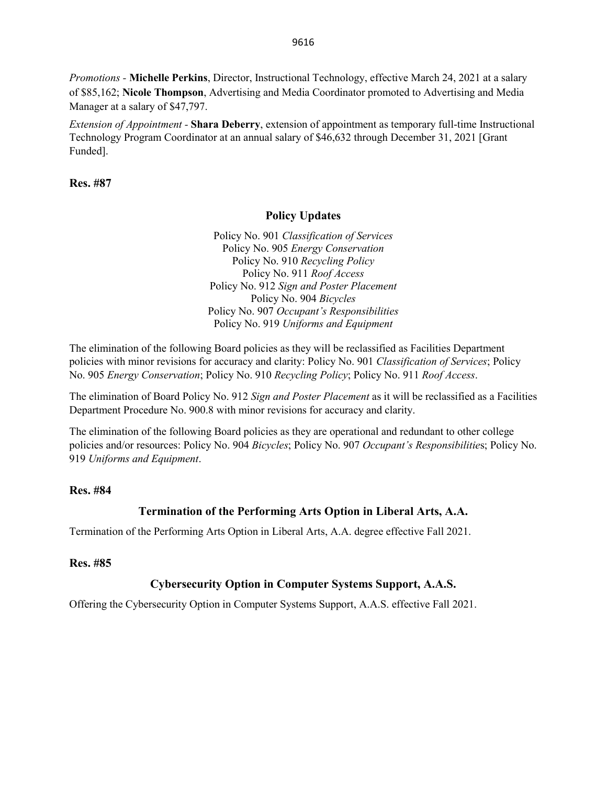*Promotions -* **Michelle Perkins**, Director, Instructional Technology, effective March 24, 2021 at a salary of \$85,162; **Nicole Thompson**, Advertising and Media Coordinator promoted to Advertising and Media Manager at a salary of \$47,797.

*Extension of Appointment -* **Shara Deberry**, extension of appointment as temporary full-time Instructional Technology Program Coordinator at an annual salary of \$46,632 through December 31, 2021 [Grant Funded].

**Res. #87** 

#### **Policy Updates**

Policy No. 901 *Classification of Services* Policy No. 905 *Energy Conservation* Policy No. 910 *Recycling Policy* Policy No. 911 *Roof Access* Policy No. 912 *Sign and Poster Placement* Policy No. 904 *Bicycles* Policy No. 907 *Occupant's Responsibilities* Policy No. 919 *Uniforms and Equipment*

The elimination of the following Board policies as they will be reclassified as Facilities Department policies with minor revisions for accuracy and clarity: Policy No. 901 *Classification of Services*; Policy No. 905 *Energy Conservation*; Policy No. 910 *Recycling Policy*; Policy No. 911 *Roof Access*.

The elimination of Board Policy No. 912 *Sign and Poster Placement* as it will be reclassified as a Facilities Department Procedure No. 900.8 with minor revisions for accuracy and clarity.

The elimination of the following Board policies as they are operational and redundant to other college policies and/or resources: Policy No. 904 *Bicycles*; Policy No. 907 *Occupant's Responsibilitie*s; Policy No. 919 *Uniforms and Equipment*.

#### **Res. #84**

## **Termination of the Performing Arts Option in Liberal Arts, A.A.**

Termination of the Performing Arts Option in Liberal Arts, A.A. degree effective Fall 2021.

#### **Res. #85**

## **Cybersecurity Option in Computer Systems Support, A.A.S.**

Offering the Cybersecurity Option in Computer Systems Support, A.A.S. effective Fall 2021.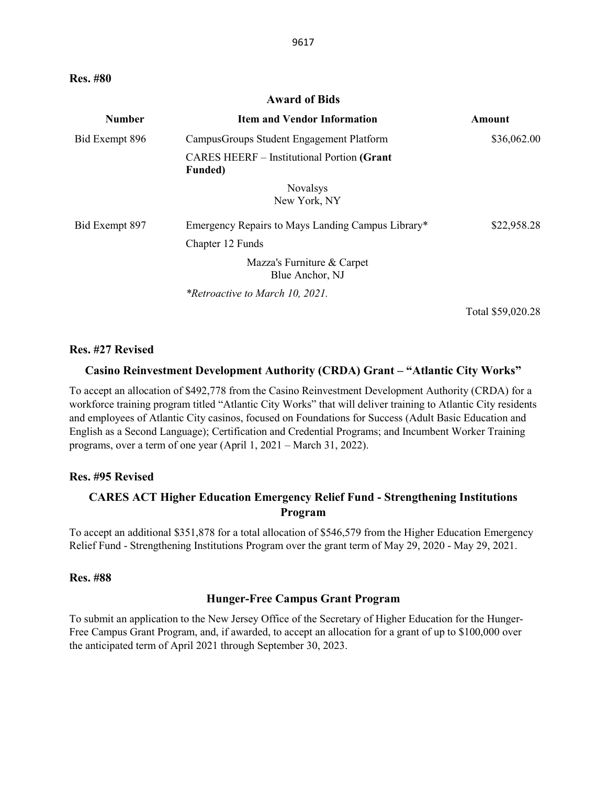**Res. #80** 

#### **Award of Bids**

| <b>Number</b>  | <b>Item and Vendor Information</b>                                   | Amount            |
|----------------|----------------------------------------------------------------------|-------------------|
| Bid Exempt 896 | Campus Groups Student Engagement Platform                            | \$36,062.00       |
|                | <b>CARES HEERF</b> – Institutional Portion (Grant<br><b>Funded</b> ) |                   |
|                | <b>Novalsys</b><br>New York, NY                                      |                   |
| Bid Exempt 897 | Emergency Repairs to Mays Landing Campus Library*                    | \$22,958.28       |
|                | Chapter 12 Funds                                                     |                   |
|                | Mazza's Furniture & Carpet<br>Blue Anchor, NJ                        |                   |
|                | *Retroactive to March 10, 2021.                                      |                   |
|                |                                                                      | Total \$59,020.28 |

#### **Res. #27 Revised**

#### **Casino Reinvestment Development Authority (CRDA) Grant – "Atlantic City Works"**

To accept an allocation of \$492,778 from the Casino Reinvestment Development Authority (CRDA) for a workforce training program titled "Atlantic City Works" that will deliver training to Atlantic City residents and employees of Atlantic City casinos, focused on Foundations for Success (Adult Basic Education and English as a Second Language); Certification and Credential Programs; and Incumbent Worker Training programs, over a term of one year (April 1, 2021 – March 31, 2022).

#### **Res. #95 Revised**

### **CARES ACT Higher Education Emergency Relief Fund - Strengthening Institutions Program**

To accept an additional \$351,878 for a total allocation of \$546,579 from the Higher Education Emergency Relief Fund - Strengthening Institutions Program over the grant term of May 29, 2020 - May 29, 2021.

#### **Res. #88**

#### **Hunger-Free Campus Grant Program**

To submit an application to the New Jersey Office of the Secretary of Higher Education for the Hunger-Free Campus Grant Program, and, if awarded, to accept an allocation for a grant of up to \$100,000 over the anticipated term of April 2021 through September 30, 2023.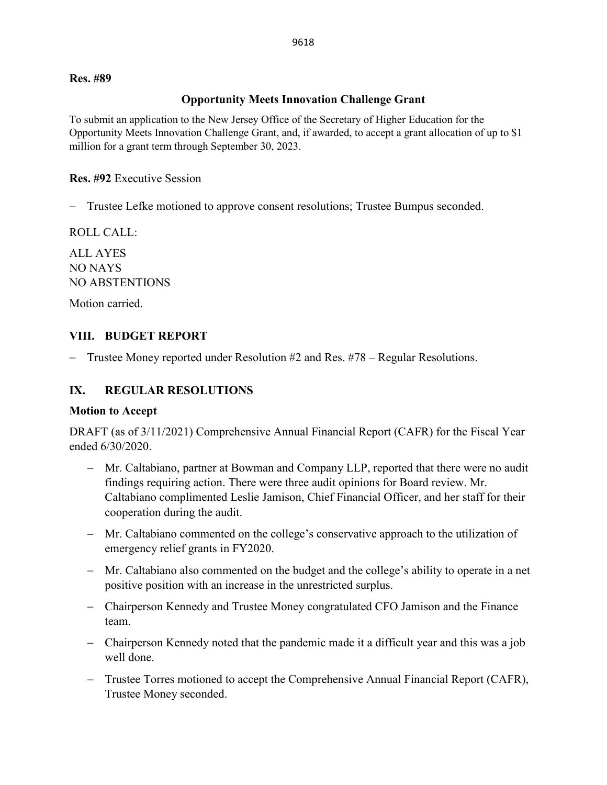#### **Res. #89**

#### **Opportunity Meets Innovation Challenge Grant**

To submit an application to the New Jersey Office of the Secretary of Higher Education for the Opportunity Meets Innovation Challenge Grant, and, if awarded, to accept a grant allocation of up to \$1 million for a grant term through September 30, 2023.

#### **Res. #92** Executive Session

− Trustee Lefke motioned to approve consent resolutions; Trustee Bumpus seconded.

ROLL CALL:

ALL AYES NO NAYS NO ABSTENTIONS

Motion carried.

## **VIII. BUDGET REPORT**

− Trustee Money reported under Resolution #2 and Res. #78 – Regular Resolutions.

## **IX. REGULAR RESOLUTIONS**

#### **Motion to Accept**

DRAFT (as of 3/11/2021) Comprehensive Annual Financial Report (CAFR) for the Fiscal Year ended 6/30/2020.

- − Mr. Caltabiano, partner at Bowman and Company LLP, reported that there were no audit findings requiring action. There were three audit opinions for Board review. Mr. Caltabiano complimented Leslie Jamison, Chief Financial Officer, and her staff for their cooperation during the audit.
- − Mr. Caltabiano commented on the college's conservative approach to the utilization of emergency relief grants in FY2020.
- − Mr. Caltabiano also commented on the budget and the college's ability to operate in a net positive position with an increase in the unrestricted surplus.
- − Chairperson Kennedy and Trustee Money congratulated CFO Jamison and the Finance team.
- − Chairperson Kennedy noted that the pandemic made it a difficult year and this was a job well done.
- − Trustee Torres motioned to accept the Comprehensive Annual Financial Report (CAFR), Trustee Money seconded.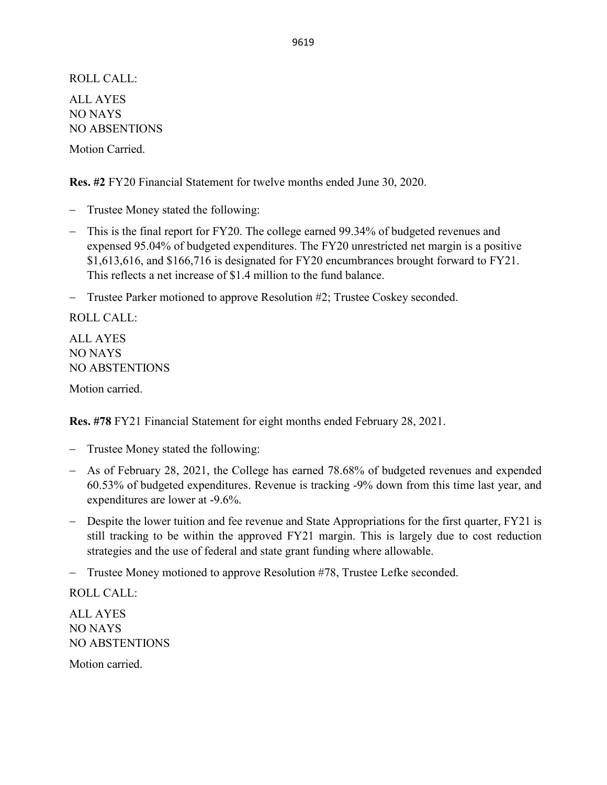ROLL CALL: ALL AYES NO NAYS NO ABSENTIONS

Motion Carried.

**Res. #2** FY20 Financial Statement for twelve months ended June 30, 2020.

- − Trustee Money stated the following:
- − This is the final report for FY20. The college earned 99.34% of budgeted revenues and expensed 95.04% of budgeted expenditures. The FY20 unrestricted net margin is a positive \$1,613,616, and \$166,716 is designated for FY20 encumbrances brought forward to FY21. This reflects a net increase of \$1.4 million to the fund balance.
- − Trustee Parker motioned to approve Resolution #2; Trustee Coskey seconded.

ROLL CALL: ALL AYES NO NAYS NO ABSTENTIONS

Motion carried.

**Res. #78** FY21 Financial Statement for eight months ended February 28, 2021.

- − Trustee Money stated the following:
- − As of February 28, 2021, the College has earned 78.68% of budgeted revenues and expended 60.53% of budgeted expenditures. Revenue is tracking -9% down from this time last year, and expenditures are lower at -9.6%.
- − Despite the lower tuition and fee revenue and State Appropriations for the first quarter, FY21 is still tracking to be within the approved FY21 margin. This is largely due to cost reduction strategies and the use of federal and state grant funding where allowable.
- − Trustee Money motioned to approve Resolution #78, Trustee Lefke seconded.

ROLL CALL:

ALL AYES NO NAYS NO ABSTENTIONS

Motion carried.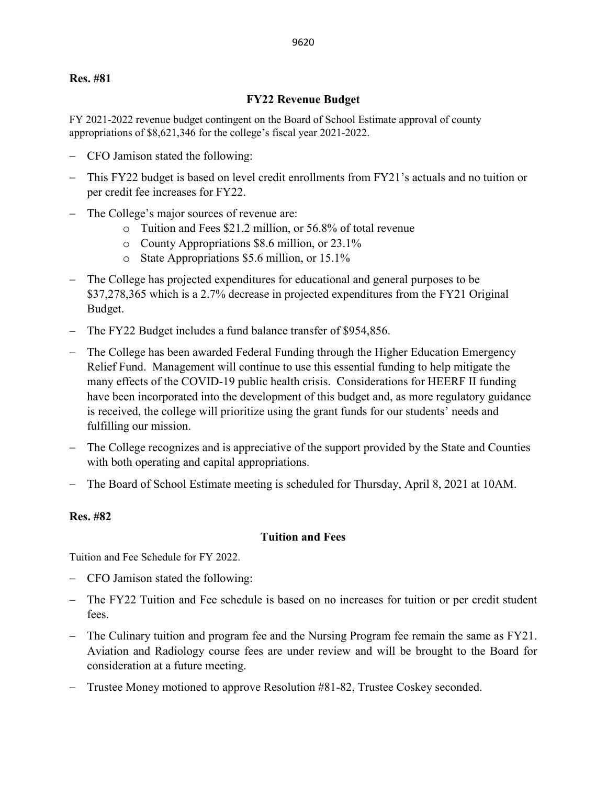#### **Res. #81**

#### **FY22 Revenue Budget**

FY 2021-2022 revenue budget contingent on the Board of School Estimate approval of county appropriations of \$8,621,346 for the college's fiscal year 2021-2022.

- − CFO Jamison stated the following:
- This FY22 budget is based on level credit enrollments from FY21's actuals and no tuition or per credit fee increases for FY22.
- The College's major sources of revenue are:
	- o Tuition and Fees \$21.2 million, or 56.8% of total revenue
	- o County Appropriations \$8.6 million, or 23.1%
	- o State Appropriations \$5.6 million, or 15.1%
- − The College has projected expenditures for educational and general purposes to be \$37,278,365 which is a 2.7% decrease in projected expenditures from the FY21 Original Budget.
- − The FY22 Budget includes a fund balance transfer of \$954,856.
- − The College has been awarded Federal Funding through the Higher Education Emergency Relief Fund. Management will continue to use this essential funding to help mitigate the many effects of the COVID-19 public health crisis. Considerations for HEERF II funding have been incorporated into the development of this budget and, as more regulatory guidance is received, the college will prioritize using the grant funds for our students' needs and fulfilling our mission.
- − The College recognizes and is appreciative of the support provided by the State and Counties with both operating and capital appropriations.
- The Board of School Estimate meeting is scheduled for Thursday, April 8, 2021 at 10AM.

#### **Res. #82**

#### **Tuition and Fees**

Tuition and Fee Schedule for FY 2022.

- − CFO Jamison stated the following:
- − The FY22 Tuition and Fee schedule is based on no increases for tuition or per credit student fees.
- − The Culinary tuition and program fee and the Nursing Program fee remain the same as FY21. Aviation and Radiology course fees are under review and will be brought to the Board for consideration at a future meeting.
- − Trustee Money motioned to approve Resolution #81-82, Trustee Coskey seconded.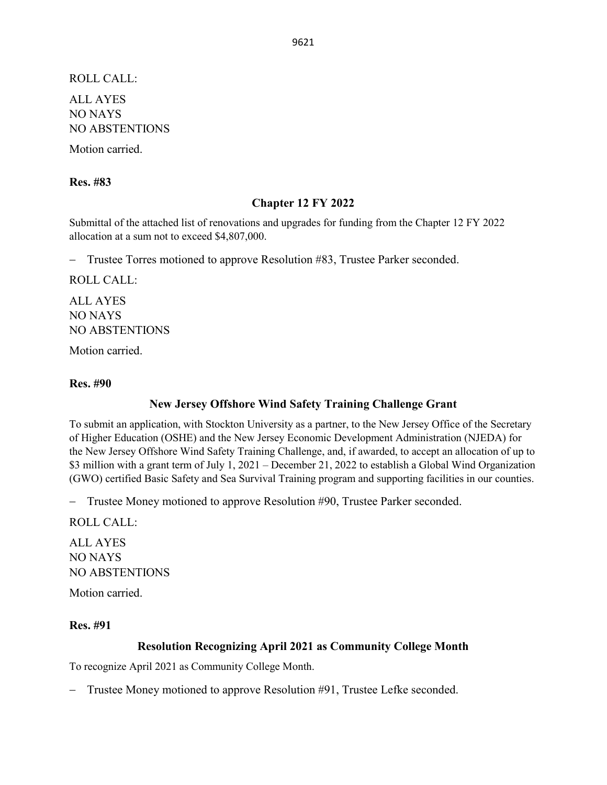ROLL CALL:

ALL AYES NO NAYS NO ABSTENTIONS

Motion carried.

#### **Res. #83**

### **Chapter 12 FY 2022**

Submittal of the attached list of renovations and upgrades for funding from the Chapter 12 FY 2022 allocation at a sum not to exceed \$4,807,000.

− Trustee Torres motioned to approve Resolution #83, Trustee Parker seconded.

ROLL CALL:

ALL AYES NO NAYS NO ABSTENTIONS

Motion carried.

#### **Res. #90**

#### **New Jersey Offshore Wind Safety Training Challenge Grant**

To submit an application, with Stockton University as a partner, to the New Jersey Office of the Secretary of Higher Education (OSHE) and the New Jersey Economic Development Administration (NJEDA) for the New Jersey Offshore Wind Safety Training Challenge, and, if awarded, to accept an allocation of up to \$3 million with a grant term of July 1, 2021 – December 21, 2022 to establish a Global Wind Organization (GWO) certified Basic Safety and Sea Survival Training program and supporting facilities in our counties.

− Trustee Money motioned to approve Resolution #90, Trustee Parker seconded.

ROLL CALL:

ALL AYES NO NAYS NO ABSTENTIONS

Motion carried.

#### **Res. #91**

## **Resolution Recognizing April 2021 as Community College Month**

To recognize April 2021 as Community College Month.

− Trustee Money motioned to approve Resolution #91, Trustee Lefke seconded.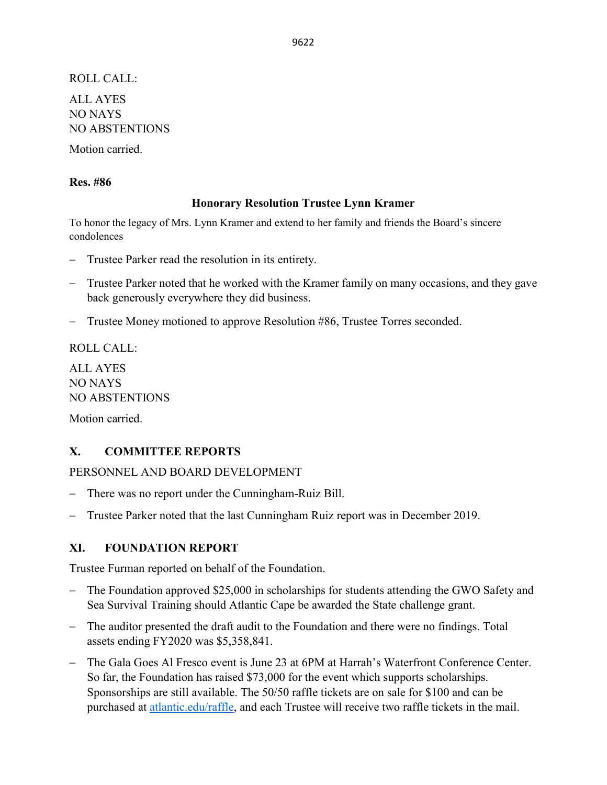ROLL CALL: ALL AYES NO NAYS NO ABSTENTIONS

Motion carried.

#### **Res. #86**

#### **Honorary Resolution Trustee Lynn Kramer**

To honor the legacy of Mrs. Lynn Kramer and extend to her family and friends the Board's sincere condolences

- − Trustee Parker read the resolution in its entirety.
- − Trustee Parker noted that he worked with the Kramer family on many occasions, and they gave back generously everywhere they did business.
- − Trustee Money motioned to approve Resolution #86, Trustee Torres seconded.

ROLL CALL:

ALL AYES NO NAYS NO ABSTENTIONS Motion carried.

## **X. COMMITTEE REPORTS**

PERSONNEL AND BOARD DEVELOPMENT

- − There was no report under the Cunningham-Ruiz Bill.
- − Trustee Parker noted that the last Cunningham Ruiz report was in December 2019.

#### **XI. FOUNDATION REPORT**

Trustee Furman reported on behalf of the Foundation.

- − The Foundation approved \$25,000 in scholarships for students attending the GWO Safety and Sea Survival Training should Atlantic Cape be awarded the State challenge grant.
- The auditor presented the draft audit to the Foundation and there were no findings. Total assets ending FY2020 was \$5,358,841.
- − The Gala Goes Al Fresco event is June 23 at 6PM at Harrah's Waterfront Conference Center. So far, the Foundation has raised \$73,000 for the event which supports scholarships. Sponsorships are still available. The 50/50 raffle tickets are on sale for \$100 and can be purchased at [atlantic.edu/raffle,](http://www.atlantic.edu/about/foundation/gala/raffle.php) and each Trustee will receive two raffle tickets in the mail.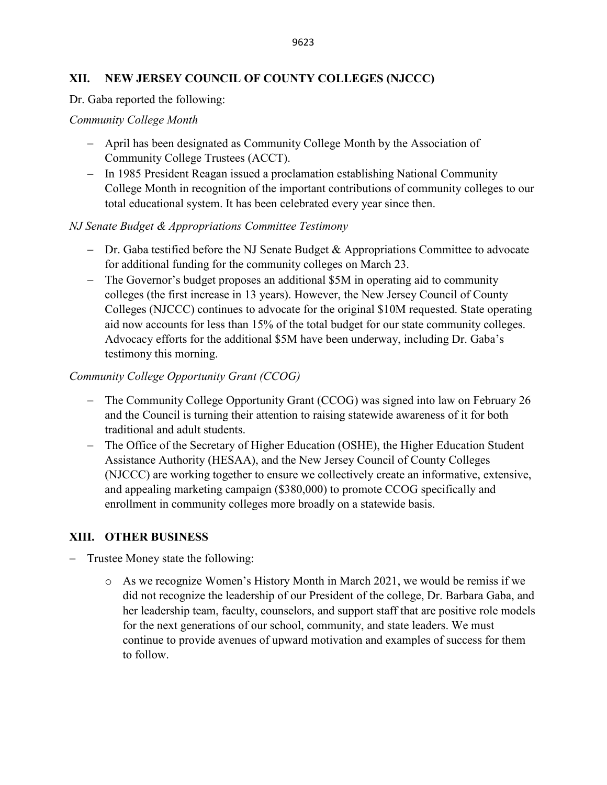## **XII. NEW JERSEY COUNCIL OF COUNTY COLLEGES (NJCCC)**

Dr. Gaba reported the following:

### *Community College Month*

- − April has been designated as Community College Month by the Association of Community College Trustees (ACCT).
- − In 1985 President Reagan issued a proclamation establishing National Community College Month in recognition of the important contributions of community colleges to our total educational system. It has been celebrated every year since then.

## *NJ Senate Budget & Appropriations Committee Testimony*

- − Dr. Gaba testified before the NJ Senate Budget & Appropriations Committee to advocate for additional funding for the community colleges on March 23.
- − The Governor's budget proposes an additional \$5M in operating aid to community colleges (the first increase in 13 years). However, the New Jersey Council of County Colleges (NJCCC) continues to advocate for the original \$10M requested. State operating aid now accounts for less than 15% of the total budget for our state community colleges. Advocacy efforts for the additional \$5M have been underway, including Dr. Gaba's testimony this morning.

# *Community College Opportunity Grant (CCOG)*

- − The Community College Opportunity Grant (CCOG) was signed into law on February 26 and the Council is turning their attention to raising statewide awareness of it for both traditional and adult students.
- − The Office of the Secretary of Higher Education (OSHE), the Higher Education Student Assistance Authority (HESAA), and the New Jersey Council of County Colleges (NJCCC) are working together to ensure we collectively create an informative, extensive, and appealing marketing campaign (\$380,000) to promote CCOG specifically and enrollment in community colleges more broadly on a statewide basis.

# **XIII. OTHER BUSINESS**

- − Trustee Money state the following:
	- o As we recognize Women's History Month in March 2021, we would be remiss if we did not recognize the leadership of our President of the college, Dr. Barbara Gaba, and her leadership team, faculty, counselors, and support staff that are positive role models for the next generations of our school, community, and state leaders. We must continue to provide avenues of upward motivation and examples of success for them to follow.